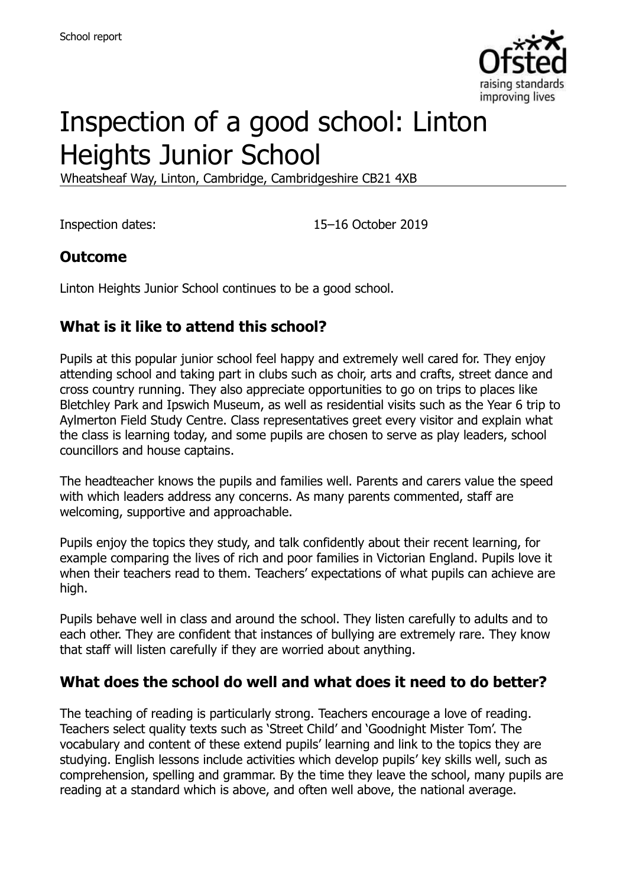

# Inspection of a good school: Linton Heights Junior School

Wheatsheaf Way, Linton, Cambridge, Cambridgeshire CB21 4XB

Inspection dates: 15–16 October 2019

#### **Outcome**

Linton Heights Junior School continues to be a good school.

#### **What is it like to attend this school?**

Pupils at this popular junior school feel happy and extremely well cared for. They enjoy attending school and taking part in clubs such as choir, arts and crafts, street dance and cross country running. They also appreciate opportunities to go on trips to places like Bletchley Park and Ipswich Museum, as well as residential visits such as the Year 6 trip to Aylmerton Field Study Centre. Class representatives greet every visitor and explain what the class is learning today, and some pupils are chosen to serve as play leaders, school councillors and house captains.

The headteacher knows the pupils and families well. Parents and carers value the speed with which leaders address any concerns. As many parents commented, staff are welcoming, supportive and approachable.

Pupils enjoy the topics they study, and talk confidently about their recent learning, for example comparing the lives of rich and poor families in Victorian England. Pupils love it when their teachers read to them. Teachers' expectations of what pupils can achieve are high.

Pupils behave well in class and around the school. They listen carefully to adults and to each other. They are confident that instances of bullying are extremely rare. They know that staff will listen carefully if they are worried about anything.

#### **What does the school do well and what does it need to do better?**

The teaching of reading is particularly strong. Teachers encourage a love of reading. Teachers select quality texts such as 'Street Child' and 'Goodnight Mister Tom'. The vocabulary and content of these extend pupils' learning and link to the topics they are studying. English lessons include activities which develop pupils' key skills well, such as comprehension, spelling and grammar. By the time they leave the school, many pupils are reading at a standard which is above, and often well above, the national average.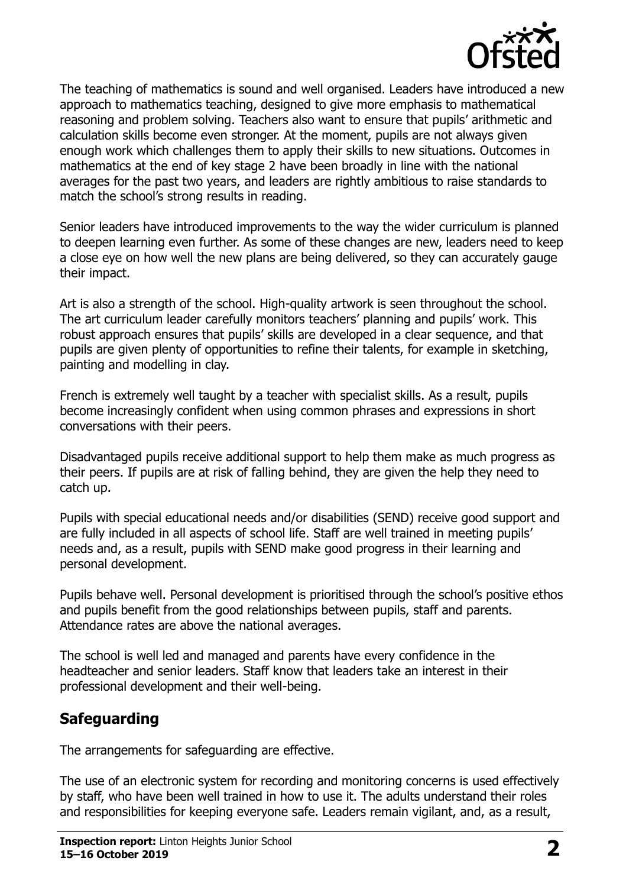

The teaching of mathematics is sound and well organised. Leaders have introduced a new approach to mathematics teaching, designed to give more emphasis to mathematical reasoning and problem solving. Teachers also want to ensure that pupils' arithmetic and calculation skills become even stronger. At the moment, pupils are not always given enough work which challenges them to apply their skills to new situations. Outcomes in mathematics at the end of key stage 2 have been broadly in line with the national averages for the past two years, and leaders are rightly ambitious to raise standards to match the school's strong results in reading.

Senior leaders have introduced improvements to the way the wider curriculum is planned to deepen learning even further. As some of these changes are new, leaders need to keep a close eye on how well the new plans are being delivered, so they can accurately gauge their impact.

Art is also a strength of the school. High-quality artwork is seen throughout the school. The art curriculum leader carefully monitors teachers' planning and pupils' work. This robust approach ensures that pupils' skills are developed in a clear sequence, and that pupils are given plenty of opportunities to refine their talents, for example in sketching, painting and modelling in clay.

French is extremely well taught by a teacher with specialist skills. As a result, pupils become increasingly confident when using common phrases and expressions in short conversations with their peers.

Disadvantaged pupils receive additional support to help them make as much progress as their peers. If pupils are at risk of falling behind, they are given the help they need to catch up.

Pupils with special educational needs and/or disabilities (SEND) receive good support and are fully included in all aspects of school life. Staff are well trained in meeting pupils' needs and, as a result, pupils with SEND make good progress in their learning and personal development.

Pupils behave well. Personal development is prioritised through the school's positive ethos and pupils benefit from the good relationships between pupils, staff and parents. Attendance rates are above the national averages.

The school is well led and managed and parents have every confidence in the headteacher and senior leaders. Staff know that leaders take an interest in their professional development and their well-being.

#### **Safeguarding**

The arrangements for safeguarding are effective.

The use of an electronic system for recording and monitoring concerns is used effectively by staff, who have been well trained in how to use it. The adults understand their roles and responsibilities for keeping everyone safe. Leaders remain vigilant, and, as a result,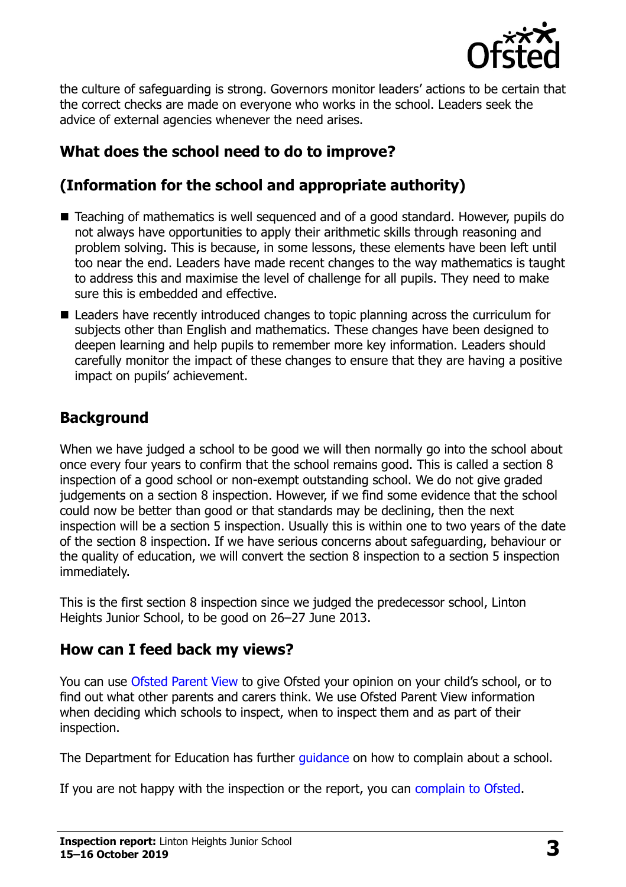

the culture of safeguarding is strong. Governors monitor leaders' actions to be certain that the correct checks are made on everyone who works in the school. Leaders seek the advice of external agencies whenever the need arises.

### **What does the school need to do to improve?**

# **(Information for the school and appropriate authority)**

- Teaching of mathematics is well sequenced and of a good standard. However, pupils do not always have opportunities to apply their arithmetic skills through reasoning and problem solving. This is because, in some lessons, these elements have been left until too near the end. Leaders have made recent changes to the way mathematics is taught to address this and maximise the level of challenge for all pupils. They need to make sure this is embedded and effective.
- Leaders have recently introduced changes to topic planning across the curriculum for subjects other than English and mathematics. These changes have been designed to deepen learning and help pupils to remember more key information. Leaders should carefully monitor the impact of these changes to ensure that they are having a positive impact on pupils' achievement.

#### **Background**

When we have judged a school to be good we will then normally go into the school about once every four years to confirm that the school remains good. This is called a section 8 inspection of a good school or non-exempt outstanding school. We do not give graded judgements on a section 8 inspection. However, if we find some evidence that the school could now be better than good or that standards may be declining, then the next inspection will be a section 5 inspection. Usually this is within one to two years of the date of the section 8 inspection. If we have serious concerns about safeguarding, behaviour or the quality of education, we will convert the section 8 inspection to a section 5 inspection immediately.

This is the first section 8 inspection since we judged the predecessor school, Linton Heights Junior School, to be good on 26–27 June 2013.

#### **How can I feed back my views?**

You can use [Ofsted Parent View](https://parentview.ofsted.gov.uk/) to give Ofsted your opinion on your child's school, or to find out what other parents and carers think. We use Ofsted Parent View information when deciding which schools to inspect, when to inspect them and as part of their inspection.

The Department for Education has further quidance on how to complain about a school.

If you are not happy with the inspection or the report, you can [complain to Ofsted.](https://www.gov.uk/complain-ofsted-report)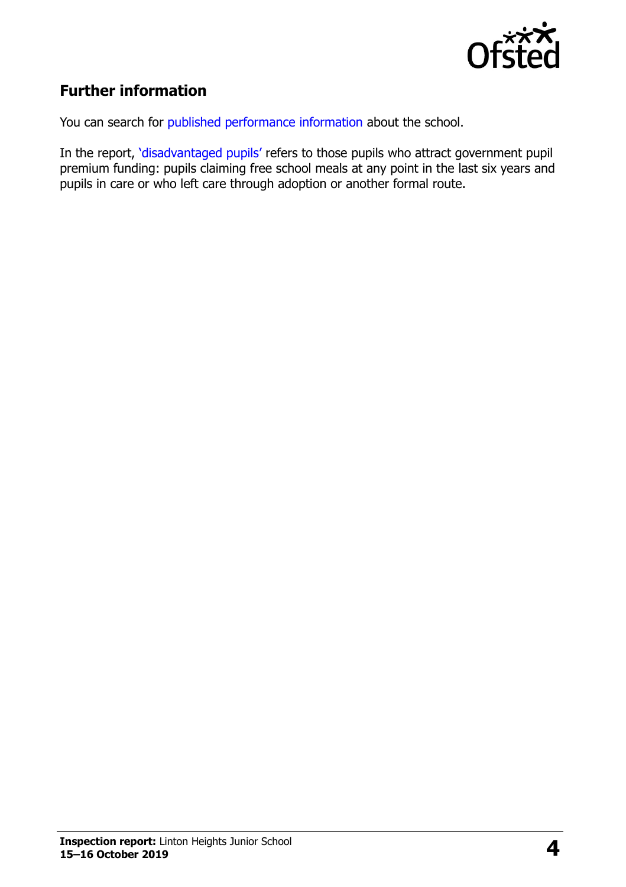

### **Further information**

You can search for [published performance information](http://www.compare-school-performance.service.gov.uk/) about the school.

In the report, '[disadvantaged pupils](http://www.gov.uk/guidance/pupil-premium-information-for-schools-and-alternative-provision-settings)' refers to those pupils who attract government pupil premium funding: pupils claiming free school meals at any point in the last six years and pupils in care or who left care through adoption or another formal route.

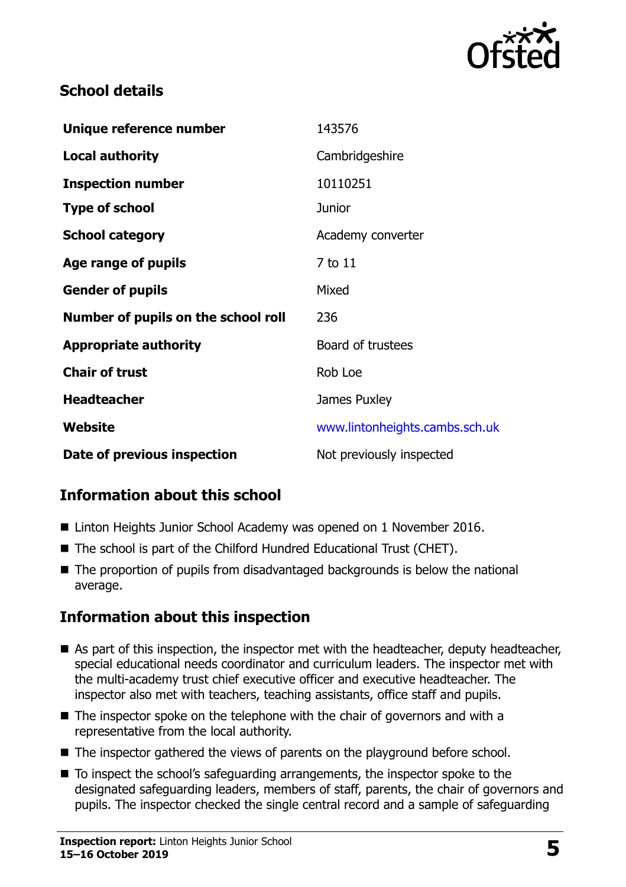

#### **School details**

| Unique reference number             | 143576                         |
|-------------------------------------|--------------------------------|
| <b>Local authority</b>              | Cambridgeshire                 |
| <b>Inspection number</b>            | 10110251                       |
| <b>Type of school</b>               | <b>Junior</b>                  |
| <b>School category</b>              | Academy converter              |
| Age range of pupils                 | 7 to 11                        |
| <b>Gender of pupils</b>             | Mixed                          |
| Number of pupils on the school roll | 236                            |
| <b>Appropriate authority</b>        | Board of trustees              |
| <b>Chair of trust</b>               | Rob Loe                        |
| <b>Headteacher</b>                  | James Puxley                   |
| Website                             | www.lintonheights.cambs.sch.uk |
| Date of previous inspection         | Not previously inspected       |

# **Information about this school**

- Linton Heights Junior School Academy was opened on 1 November 2016.
- The school is part of the Chilford Hundred Educational Trust (CHET).
- The proportion of pupils from disadvantaged backgrounds is below the national average.

#### **Information about this inspection**

- As part of this inspection, the inspector met with the headteacher, deputy headteacher, special educational needs coordinator and curriculum leaders. The inspector met with the multi-academy trust chief executive officer and executive headteacher. The inspector also met with teachers, teaching assistants, office staff and pupils.
- The inspector spoke on the telephone with the chair of governors and with a representative from the local authority.
- The inspector gathered the views of parents on the playground before school.
- To inspect the school's safeguarding arrangements, the inspector spoke to the designated safeguarding leaders, members of staff, parents, the chair of governors and pupils. The inspector checked the single central record and a sample of safeguarding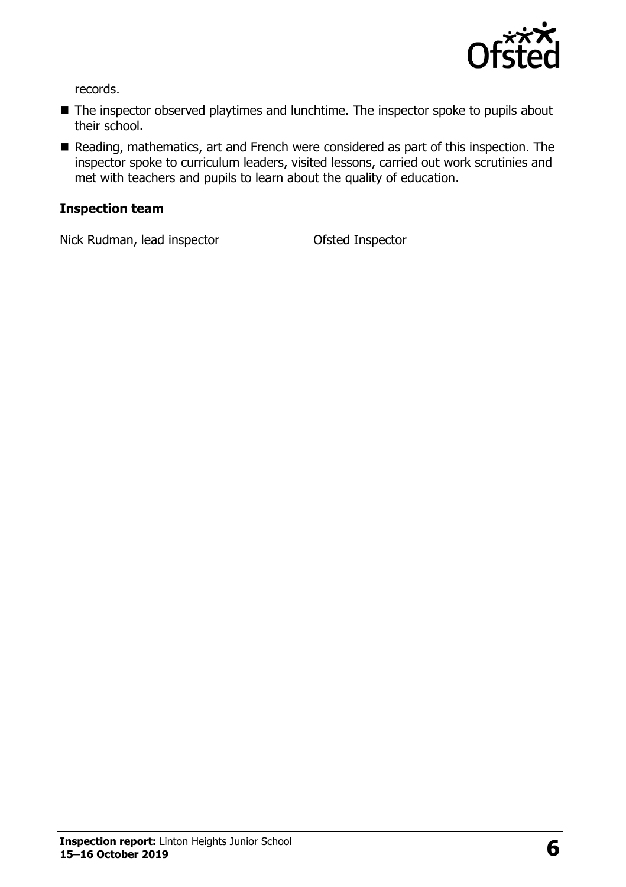

records.

- The inspector observed playtimes and lunchtime. The inspector spoke to pupils about their school.
- Reading, mathematics, art and French were considered as part of this inspection. The inspector spoke to curriculum leaders, visited lessons, carried out work scrutinies and met with teachers and pupils to learn about the quality of education.

#### **Inspection team**

Nick Rudman, lead inspector **Ofsted Inspector**